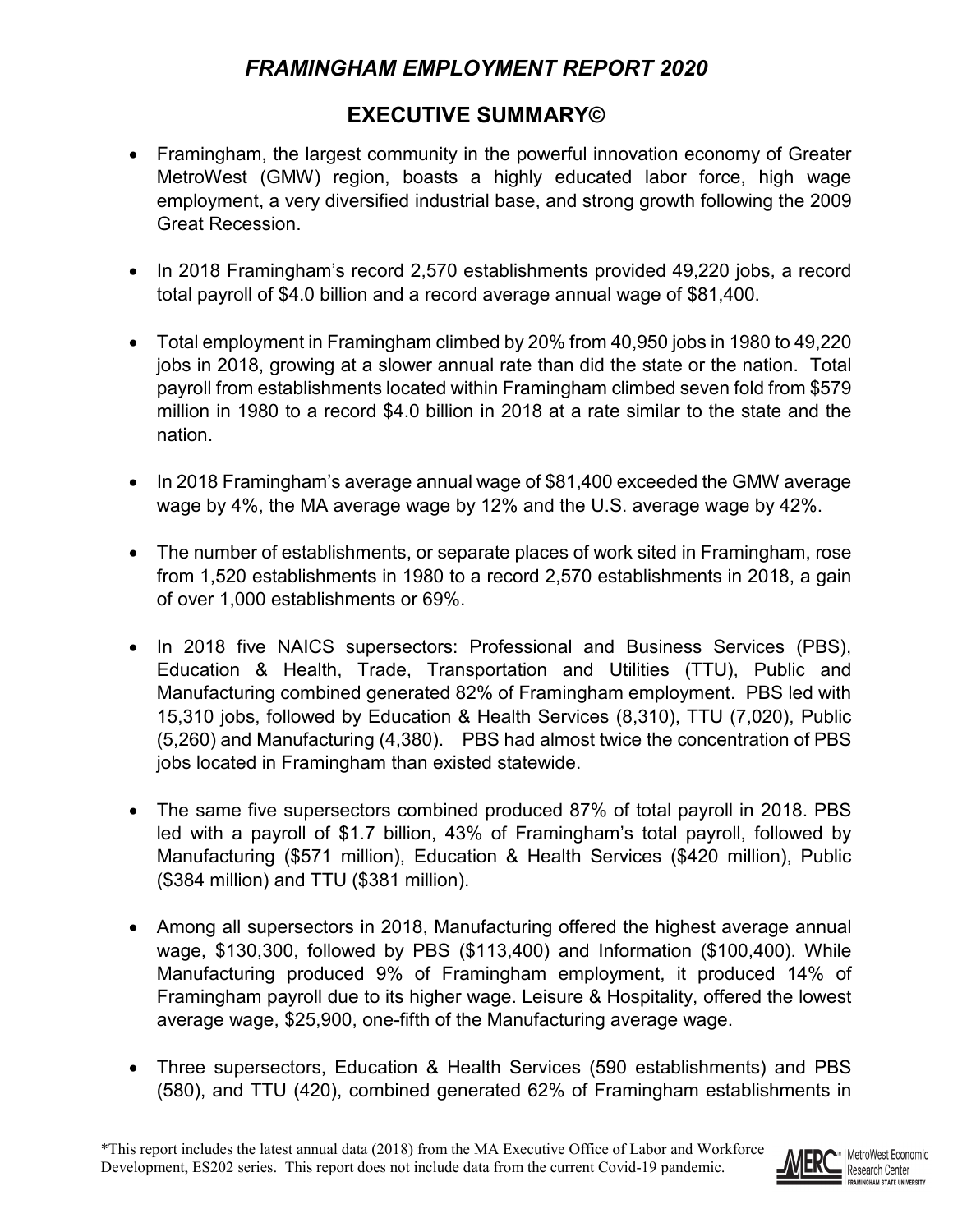## *FRAMINGHAM EMPLOYMENT REPORT 2020*

## **EXECUTIVE SUMMARY©**

- Framingham, the largest community in the powerful innovation economy of Greater MetroWest (GMW) region, boasts a highly educated labor force, high wage employment, a very diversified industrial base, and strong growth following the 2009 Great Recession.
- In 2018 Framingham's record 2,570 establishments provided 49,220 jobs, a record total payroll of \$4.0 billion and a record average annual wage of \$81,400.
- Total employment in Framingham climbed by 20% from 40,950 jobs in 1980 to 49,220 jobs in 2018, growing at a slower annual rate than did the state or the nation. Total payroll from establishments located within Framingham climbed seven fold from \$579 million in 1980 to a record \$4.0 billion in 2018 at a rate similar to the state and the nation.
- In 2018 Framingham's average annual wage of \$81,400 exceeded the GMW average wage by 4%, the MA average wage by 12% and the U.S. average wage by 42%.
- The number of establishments, or separate places of work sited in Framingham, rose from 1,520 establishments in 1980 to a record 2,570 establishments in 2018, a gain of over 1,000 establishments or 69%.
- In 2018 five NAICS supersectors: Professional and Business Services (PBS), Education & Health, Trade, Transportation and Utilities (TTU), Public and Manufacturing combined generated 82% of Framingham employment. PBS led with 15,310 jobs, followed by Education & Health Services (8,310), TTU (7,020), Public (5,260) and Manufacturing (4,380). PBS had almost twice the concentration of PBS jobs located in Framingham than existed statewide.
- The same five supersectors combined produced 87% of total payroll in 2018. PBS led with a payroll of \$1.7 billion, 43% of Framingham's total payroll, followed by Manufacturing (\$571 million), Education & Health Services (\$420 million), Public (\$384 million) and TTU (\$381 million).
- Among all supersectors in 2018, Manufacturing offered the highest average annual wage, \$130,300, followed by PBS (\$113,400) and Information (\$100,400). While Manufacturing produced 9% of Framingham employment, it produced 14% of Framingham payroll due to its higher wage. Leisure & Hospitality, offered the lowest average wage, \$25,900, one-fifth of the Manufacturing average wage.
- Three supersectors, Education & Health Services (590 establishments) and PBS (580), and TTU (420), combined generated 62% of Framingham establishments in